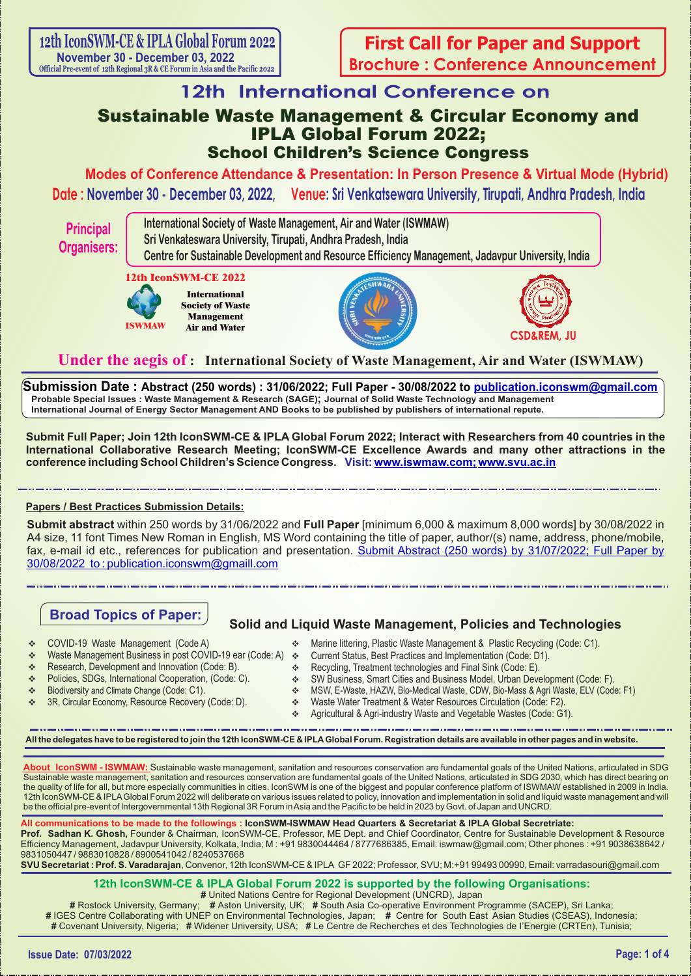# **12th International Conference on**

# Sustainable Waste Management & Circular Economy and IPLA Global Forum 2022; School Children's Science Congress

**Date : November 30 - December 03, 2022, Venue: Sri Venkatsewara University, Tirupati, Andhra Pradesh, India Modes of Conference Attendance & Presentation: In Person Presence & Virtual Mode (Hybrid)**

**Principal Organisers:** **International Society of Waste Management, Air and Water (ISWMAW) Sri Venkateswara University, Tirupati, Andhra Pradesh, India Centre for Sustainable Development and Resource Efficiency Management, Jadavpur University, India**

### **12th IconSWM-CE 2022**



**International Society of Waste Management Air and Water**





# **Under the aegis of : International Society of Waste Management, Air and Water (ISWMAW)**

**Submission Date : Abstract (250 words) : 31/06/2022; Full Paper - 30/08/2022 to publication.iconswm@gmail.com Probable Special Issues : Waste Management & Research (SAGE); Journal of Solid Waste Technology and Management International Journal of Energy Sector Management AND Books to be published by publishers of international repute.**

**Submit Full Paper; Join 12th IconSWM-CE & IPLA Global Forum 2022; Interact with Researchers from 40 countries in the International Collaborative Research Meeting; IconSWM-CE Excellence Awards and many other attractions in the conference including School Children's Science Congress. Visit: www.iswmaw.com; www.svu.ac.in** 

### **Papers / Best Practices Submission Details:**

**Submit abstract** within 250 words by 31/06/2022 and **Full Paper** [minimum 6,000 & maximum 8,000 words] by 30/08/2022 in A4 size, 11 font Times New Roman in English, MS Word containing the title of paper, author/(s) name, address, phone/mobile, fax, e-mail id etc., references for publication and presentation. Submit Abstract (250 words) by 31/07/2022; Full Paper by 30/08/2022 to : publication.iconswm@gmaill.com

# **Broad Topics of Paper:**

## **Solid and Liquid Waste Management, Policies and Technologies**

- v COVID-19 Waste Management (Code A)
- Waste Management Business in post COVID-19 ear (Code: A) ❖
- Research, Development and Innovation (Code: B).
- \* Policies, SDGs, International Cooperation, (Code: C).
- v Biodiversity and Climate Change (Code: C1).
- 3R, Circular Economy, Resource Recovery (Code: D).
- Marine littering, Plastic Waste Management & Plastic Recycling (Code: C1).
- Current Status, Best Practices and Implementation (Code: D1).
- $\div$  Recycling, Treatment technologies and Final Sink (Code: E).
- v SW Business, Smart Cities and Business Model, Urban Development (Code: F).
- v MSW, E-Waste, HAZW, Bio-Medical Waste, CDW, Bio-Mass & Agri Waste, ELV (Code: F1)
- v Waste Water Treatment & Water Resources Circulation (Code: F2).
- \* Agricultural & Agri-industry Waste and Vegetable Wastes (Code: G1).

**All the delegates have to be registered to join the 12th IconSWM-CE & IPLAGlobal Forum. Registration details are available in other pages and in website.**

**About IconSWM - ISWMAW:** Sustainable waste management, sanitation and resources conservation are fundamental goals of the United Nations, articulated in SDG Sustainable waste management, sanitation and resources conservation are fundamental goals of the United Nations, articulated in SDG 2030, which has direct bearing on the quality of life for all, but more especially communities in cities. IconSWM is one of the biggest and popular conference platform of ISWMAW established in 2009 in India. 12th IconSWM-CE & IPLAGlobal Forum 2022 will deliberate on various issues related to policy, innovation and implementation in solid and liquid waste management and will be the official pre-event of Intergovernmental 13th Regional 3R Forum in Asia and the Pacific to be held in 2023 by Govt. of Japan and UNCRD.

**All communications to be made to the followings : IconSWM-ISWMAW Head Quarters & Secretariat & IPLA Global Secretriate: Prof. Sadhan K. Ghosh,** Founder & Chairman, IconSWM-CE, Professor, ME Dept. and Chief Coordinator, Centre for Sustainable Development & Resource Efficiency Management, Jadavpur University, Kolkata, India; M : +91 9830044464 / 8777686385, Email: iswmaw@gmail.com; Other phones : +91 9038638642 / 9831050447 / 9883010828 / 8900541042 / 8240537668

**SVU Secretariat : Prof. S. Varadarajan**, Convenor, 12th IconSWM-CE & IPLA GF 2022; Professor, SVU; M:+91 99493 00990, Email: varradasouri@gmail.com

# **12th IconSWM-CE & IPLA Global Forum 2022 is supported by the following Organisations:**

**#** United Nations Centre for Regional Development (UNCRD), Japan

**#** Rostock University, Germany; **#** Aston University, UK; **#** South Asia Co-operative Environment Programme (SACEP), Sri Lanka; **#** IGES Centre Collaborating with UNEP on Environmental Technologies, Japan; **#** Centre for South East Asian Studies (CSEAS), Indonesia; **#** Covenant University, Nigeria; **#** Widener University, USA; **#** Le Centre de Recherches et des Technologies de I'Energie (CRTEn), Tunisia;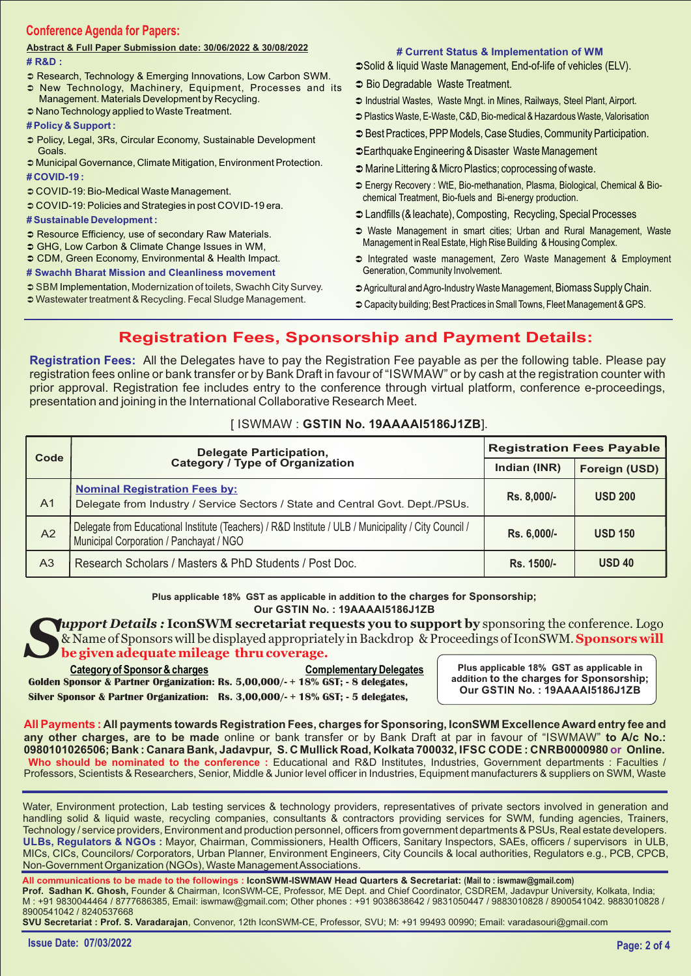## **Conference Agenda for Papers:**

#### **# R&D : Abstract & Full Paper Submission date: 30/06/2022 & 30/08/2022**

- 
- **Research, Technology & Emerging Innovations, Low Carbon SWM.**
- New Technology, Machinery, Equipment, Processes and its Management. Materials Development by Recycling.
- $\bullet$  Nano Technology applied to Waste Treatment.

#### **# Policy & Support :**

- Ü Policy, Legal, 3Rs, Circular Economy, Sustainable Development Goals.
- $\supset$  Municipal Governance, Climate Mitigation, Environment Protection. **# COVID-19 :**
- $\circ$  COVID-19: Bio-Medical Waste Management.
- Ü COVID-19: Policies and Strategies in post COVID-19 era.

#### **# Sustainable Development :**

- **Resource Efficiency, use of secondary Raw Materials.**
- GHG, Low Carbon & Climate Change Issues in WM,
- $\circ$  CDM, Green Economy, Environmental & Health Impact.

**# Swachh Bharat Mission and Cleanliness movement** 

SBM Implementation, Modernization of toilets, Swachh City Survey.

 $\supset$  Wastewater treatment & Recycling. Fecal Sludge Management.

#### **# Current Status & Implementation of WM**

- Solid & liquid Waste Management, End-of-life of vehicles (ELV).
- **C** Bio Degradable Waste Treatment.
- $\supset$  Industrial Wastes, Waste Mngt. in Mines, Railways, Steel Plant, Airport.
- Ü Plastics Waste, E-Waste, C&D, Bio-medical & Hazardous Waste, Valorisation
- $\supset$  Best Practices, PPP Models, Case Studies, Community Participation.
- **CEarthquake Engineering & Disaster Waste Management**
- $\supset$  Marine Littering & Micro Plastics; coprocessing of waste.
- Ü Energy Recovery : WtE, Bio-methanation, Plasma, Biological, Chemical & Biochemical Treatment, Bio-fuels and Bi-energy production.
- Ü Landfills (& leachate), Composting, Recycling, Special Processes
- $\supset$  Waste Management in smart cities; Urban and Rural Management, Waste Management in Real Estate, High Rise Building & Housing Complex.
- $\supset$  Integrated waste management, Zero Waste Management & Employment Generation, Community Involvement.
- $\supset$  Agricultural and Agro-Industry Waste Management, Biomass Supply Chain.
- $\supset$  Capacity building: Best Practices in Small Towns, Fleet Management & GPS.

# **Registration Fees, Sponsorship and Payment Details:**

**Registration Fees:** All the Delegates have to pay the Registration Fee payable as per the following table. Please pay registration fees online or bank transfer or by Bank Draft in favour of "ISWMAW" or by cash at the registration counter with prior approval. Registration fee includes entry to the conference through virtual platform, conference e-proceedings, presentation and joining in the International Collaborative Research Meet.

#### [ ISWMAW : **GSTIN No. 19AAAAI5186J1ZB**].

| Code           | Delegate Participation,<br>Category / Type of Organization                                                                                      | <b>Registration Fees Payable</b> |                |  |
|----------------|-------------------------------------------------------------------------------------------------------------------------------------------------|----------------------------------|----------------|--|
|                |                                                                                                                                                 | Indian (INR)                     | Foreign (USD)  |  |
| A <sub>1</sub> | <b>Nominal Registration Fees by:</b><br>Delegate from Industry / Service Sectors / State and Central Govt. Dept./PSUs.                          | Rs. 8,000/-                      | <b>USD 200</b> |  |
| A2             | Delegate from Educational Institute (Teachers) / R&D Institute / ULB / Municipality / City Council /<br>Municipal Corporation / Panchayat / NGO | Rs. 6.000/-                      | <b>USD 150</b> |  |
| A <sub>3</sub> | Research Scholars / Masters & PhD Students / Post Doc.                                                                                          | Rs. 1500/-                       | $USD$ 40       |  |

**Our GSTIN No. : 19AAAAI5186J1ZB Plus applicable 18% GST as applicable in addition to the charges for Sponsorship;** 

*Support Details:* IconSWM secretariat requests you to support by sponsoring the conference. Logo<br>& Name of Sponsors will be displayed appropriately in Backdrop & Proceedings of IconSWM. Sponsors will **be given adequate mileage thru coverage.**

**Silver Sponsor & Partner Organization: Rs. 3,00,000/- + 18% GST; - 5 delegates, Golden Sponsor & Partner Organization: Rs. 5,00,000/- + 18% GST; - 8 delegates, Category of Sponsor & charges Complementary Delegates** 

**Plus applicable 18% GST as applicable in addition to the charges for Sponsorship; Our GSTIN No. : 19AAAAI5186J1ZB**

**All Payments : All payments towards Registration Fees, charges for Sponsoring, IconSWM Excellence Award entry fee and any other charges, are to be made** online or bank transfer or by Bank Draft at par in favour of "ISWMAW" **to A/c No.: 0980101026506; Bank : Canara Bank, Jadavpur, S. C Mullick Road, Kolkata 700032, IFSC CODE : CNRB0000980 or Online. Who should be nominated to the conference :** Educational and R&D Institutes, Industries, Government departments : Faculties / Professors, Scientists & Researchers, Senior, Middle & Junior level officer in Industries, Equipment manufacturers & suppliers on SWM, Waste

**ULBs, Regulators & NGOs :** Mayor, Chairman, Commissioners, Health Officers, Sanitary Inspectors, SAEs, officers / supervisors in ULB, MICs, CICs, Councilors/ Corporators, Urban Planner, Environment Engineers, City Councils & local authorities, Regulators e.g., PCB, CPCB, Non-Government Organization (NGOs), Waste Management Associations. Water, Environment protection, Lab testing services & technology providers, representatives of private sectors involved in generation and handling solid & liquid waste, recycling companies, consultants & contractors providing services for SWM, funding agencies, Trainers, Technology / service providers, Environment and production personnel, officers from government departments & PSUs, Real estate developers.

**All communications to be made to the followings : IconSWM-ISWMAW Head Quarters & Secretariat: (Mail to : iswmaw@gmail.com) Prof. Sadhan K. Ghosh,** Founder & Chairman, IconSWM-CE, Professor, ME Dept. and Chief Coordinator, CSDREM, Jadavpur University, Kolkata, India; M : +91 9830044464 / 8777686385, Email: iswmaw@gmail.com; Other phones : +91 9038638642 / 9831050447 / 9883010828 / 8900541042. 9883010828 / 8900541042 / 8240537668

**SVU Secretariat : Prof. S. Varadarajan**, Convenor, 12th IconSWM-CE, Professor, SVU; M: +91 99493 00990; Email: varadasouri@gmail.com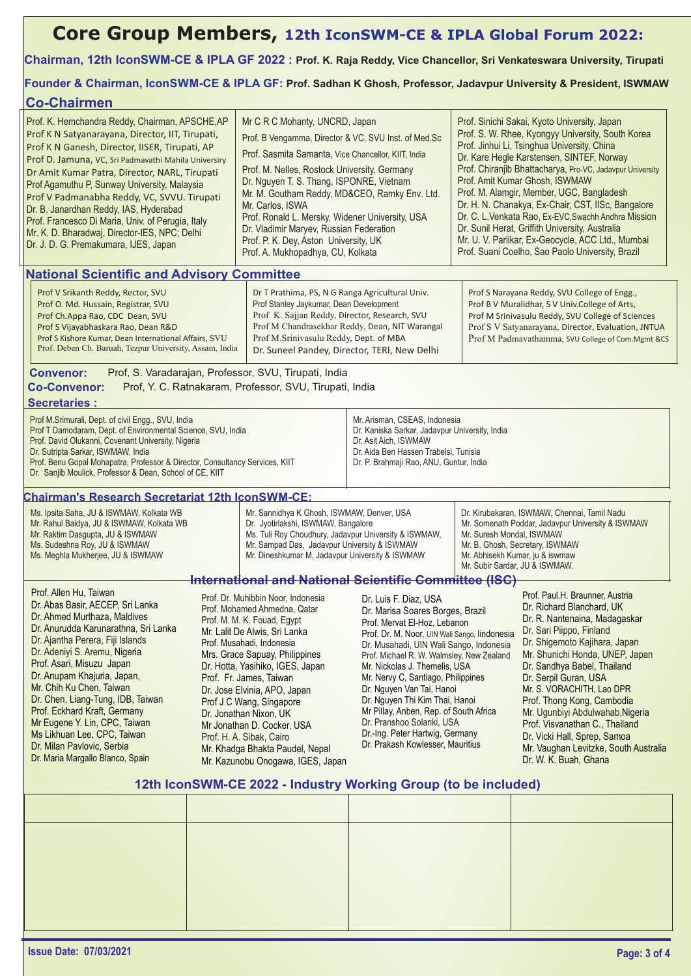# **Core Group Members, 12th IconSWM-CE & IPLA Global Forum 2022:**

### **Chairman, 12th IconSWM-CE & IPLA GF 2022 : Prof. K. Raja Reddy, Vice Chancellor, Sri Venkateswara University, Tirupati**

**Founder & Chairman, IconSWM-CE & IPLA GF: Prof. Sadhan K Ghosh, Professor, Jadavpur University & President, ISWMAW**

| <b>Co-Chairmen</b>                                                                                                                                                                                                                                                                                                                                                                                                                                                                                                                                     |                                                                                                                                                                                                                                                                                                                                                                                                                                                                                          |                                                                                                                                                                                                                                                                                                                                                                                                                                                                                            |                                                                                                                                                                                                                                                                                                                                                                                                                                                                                                                        |                                                                                                                                                                                                                                                                                                                                                                                                                                                                                                                                                                                                                     |                                                                                                                                                                                                                                                                                                                                                                                                                                                                                          |  |  |
|--------------------------------------------------------------------------------------------------------------------------------------------------------------------------------------------------------------------------------------------------------------------------------------------------------------------------------------------------------------------------------------------------------------------------------------------------------------------------------------------------------------------------------------------------------|------------------------------------------------------------------------------------------------------------------------------------------------------------------------------------------------------------------------------------------------------------------------------------------------------------------------------------------------------------------------------------------------------------------------------------------------------------------------------------------|--------------------------------------------------------------------------------------------------------------------------------------------------------------------------------------------------------------------------------------------------------------------------------------------------------------------------------------------------------------------------------------------------------------------------------------------------------------------------------------------|------------------------------------------------------------------------------------------------------------------------------------------------------------------------------------------------------------------------------------------------------------------------------------------------------------------------------------------------------------------------------------------------------------------------------------------------------------------------------------------------------------------------|---------------------------------------------------------------------------------------------------------------------------------------------------------------------------------------------------------------------------------------------------------------------------------------------------------------------------------------------------------------------------------------------------------------------------------------------------------------------------------------------------------------------------------------------------------------------------------------------------------------------|------------------------------------------------------------------------------------------------------------------------------------------------------------------------------------------------------------------------------------------------------------------------------------------------------------------------------------------------------------------------------------------------------------------------------------------------------------------------------------------|--|--|
| Prof. K. Hemchandra Reddy, Chairman, APSCHE, AP<br>Prof K N Satyanarayana, Director, IIT, Tirupati,<br>Prof K N Ganesh, Director, IISER, Tirupati, AP<br>Prof D. Jamuna, VC, Sri Padmavathi Mahila Universiry<br>Dr Amit Kumar Patra, Director, NARL, Tirupati<br>Prof Agamuthu P, Sunway University, Malaysia<br>Prof V Padmanabha Reddy, VC, SVVU. Tirupati<br>Dr. B. Janardhan Reddy, IAS, Hyderabad<br>Prof. Francesco Di Maria, Univ. of Perugia, Italy<br>Mr. K. D. Bharadwaj, Director-IES, NPC; Delhi<br>Dr. J. D. G. Premakumara, IJES, Japan |                                                                                                                                                                                                                                                                                                                                                                                                                                                                                          | Mr C R C Mohanty, UNCRD, Japan<br>Prof. B Vengamma, Director & VC, SVU Inst. of Med.Sc<br>Prof. Sasmita Samanta, Vice Chancellor, KIIT, India<br>Prof. M. Nelles, Rostock University, Germany<br>Dr. Nguyen T. S. Thang, ISPONRE, Vietnam<br>Mr. M. Goutham Reddy, MD&CEO, Ramky Env. Ltd.<br>Mr. Carlos, ISWA<br>Prof. Ronald L. Mersky, Widener University, USA<br>Dr. Vladimir Maryev, Russian Federation<br>Prof. P. K. Dey, Aston University, UK<br>Prof. A. Mukhopadhya, CU, Kolkata |                                                                                                                                                                                                                                                                                                                                                                                                                                                                                                                        | Prof. Sinichi Sakai, Kyoto University, Japan<br>Prof. S. W. Rhee, Kyongyy University, South Korea<br>Prof. Jinhui Li, Tsinghua University, China<br>Dr. Kare Hegle Karstensen, SINTEF, Norway<br>Prof. Chiranjib Bhattacharya, Pro-VC, Jadavpur University<br>Prof. Amit Kumar Ghosh, ISWMAW<br>Prof. M. Alamgir, Member, UGC, Bangladesh<br>Dr. H. N. Chanakya, Ex-Chair, CST, IISc, Bangalore<br>Dr. C. L. Venkata Rao, Ex-EVC, Swachh Andhra Mission<br>Dr. Sunil Herat, Griffith University, Australia<br>Mr. U. V. Parlikar, Ex-Geocycle, ACC Ltd., Mumbai<br>Prof. Suani Coelho, Sao Paolo University, Brazil |                                                                                                                                                                                                                                                                                                                                                                                                                                                                                          |  |  |
| <b>National Scientific and Advisory Committee</b>                                                                                                                                                                                                                                                                                                                                                                                                                                                                                                      |                                                                                                                                                                                                                                                                                                                                                                                                                                                                                          |                                                                                                                                                                                                                                                                                                                                                                                                                                                                                            |                                                                                                                                                                                                                                                                                                                                                                                                                                                                                                                        |                                                                                                                                                                                                                                                                                                                                                                                                                                                                                                                                                                                                                     |                                                                                                                                                                                                                                                                                                                                                                                                                                                                                          |  |  |
| Prof V Srikanth Reddy, Rector, SVU<br>Prof Stanley Jaykumar, Dean Development<br>Prof O. Md. Hussain, Registrar, SVU<br>Prof Ch.Appa Rao, CDC Dean, SVU<br>Prof S Vijayabhaskara Rao, Dean R&D<br>Prof M.Srinivasulu Reddy, Dept. of MBA<br>Prof S Kishore Kumar, Dean International Affairs, SVU<br>Prof. Deben Ch. Baruah, Tezpur University, Assam, India<br>Prof, S. Varadarajan, Professor, SVU, Tirupati, India<br><b>Convenor:</b>                                                                                                              |                                                                                                                                                                                                                                                                                                                                                                                                                                                                                          |                                                                                                                                                                                                                                                                                                                                                                                                                                                                                            | Dr T Prathima, PS, N G Ranga Agricultural Univ.<br>Prof K. Sajjan Reddy, Director, Research, SVU<br>Prof M Chandrasekhar Reddy, Dean, NIT Warangal<br>Dr. Suneel Pandey, Director, TERI, New Delhi                                                                                                                                                                                                                                                                                                                     | Prof S Narayana Reddy, SVU College of Engg.,<br>Prof B V Muralidhar, S V Univ.College of Arts,<br>Prof M Srinivasulu Reddy, SVU College of Sciences<br>Prof S V Satyanarayana, Director, Evaluation, JNTUA<br>Prof M Padmavathamma, SVU College of Com.Mgmt &CS                                                                                                                                                                                                                                                                                                                                                     |                                                                                                                                                                                                                                                                                                                                                                                                                                                                                          |  |  |
| <b>Co-Convenor:</b>                                                                                                                                                                                                                                                                                                                                                                                                                                                                                                                                    |                                                                                                                                                                                                                                                                                                                                                                                                                                                                                          | Prof, Y. C. Ratnakaram, Professor, SVU, Tirupati, India                                                                                                                                                                                                                                                                                                                                                                                                                                    |                                                                                                                                                                                                                                                                                                                                                                                                                                                                                                                        |                                                                                                                                                                                                                                                                                                                                                                                                                                                                                                                                                                                                                     |                                                                                                                                                                                                                                                                                                                                                                                                                                                                                          |  |  |
| <b>Secretaries:</b>                                                                                                                                                                                                                                                                                                                                                                                                                                                                                                                                    |                                                                                                                                                                                                                                                                                                                                                                                                                                                                                          |                                                                                                                                                                                                                                                                                                                                                                                                                                                                                            |                                                                                                                                                                                                                                                                                                                                                                                                                                                                                                                        |                                                                                                                                                                                                                                                                                                                                                                                                                                                                                                                                                                                                                     |                                                                                                                                                                                                                                                                                                                                                                                                                                                                                          |  |  |
| Prof M.Srimurali, Dept. of civil Engg., SVU, India<br>Prof T Damodaram, Dept. of Environmental Science, SVU, India<br>Prof. David Olukanni, Covenant University, Nigeria<br>Dr. Sutripta Sarkar, ISWMAW, India<br>Prof. Benu Gopal Mohapatra, Professor & Director, Consultancy Services, KIIT<br>Dr. Sanjib Moulick, Professor & Dean, School of CE, KIIT                                                                                                                                                                                             |                                                                                                                                                                                                                                                                                                                                                                                                                                                                                          |                                                                                                                                                                                                                                                                                                                                                                                                                                                                                            | Mr. Arisman, CSEAS, Indonesia<br>Dr. Kaniska Sarkar, Jadavpur University, India<br>Dr. Asit Aich, ISWMAW<br>Dr. Aida Ben Hassen Trabelsi, Tunisia<br>Dr. P. Brahmaji Rao, ANU, Guntur, India                                                                                                                                                                                                                                                                                                                           |                                                                                                                                                                                                                                                                                                                                                                                                                                                                                                                                                                                                                     |                                                                                                                                                                                                                                                                                                                                                                                                                                                                                          |  |  |
| <b>Chairman's Research Secretariat 12th IconSWM-CE:</b>                                                                                                                                                                                                                                                                                                                                                                                                                                                                                                |                                                                                                                                                                                                                                                                                                                                                                                                                                                                                          |                                                                                                                                                                                                                                                                                                                                                                                                                                                                                            |                                                                                                                                                                                                                                                                                                                                                                                                                                                                                                                        |                                                                                                                                                                                                                                                                                                                                                                                                                                                                                                                                                                                                                     |                                                                                                                                                                                                                                                                                                                                                                                                                                                                                          |  |  |
| Ms. Ipsita Saha, JU & ISWMAW, Kolkata WB<br>Mr. Rahul Baidya, JU & ISWMAW, Kolkata WB<br>Mr. Raktim Dasgupta, JU & ISWMAW<br>Ms. Sudeshna Roy, JU & ISWMAW<br>Ms. Meghla Mukherjee, JU & ISWMAW                                                                                                                                                                                                                                                                                                                                                        |                                                                                                                                                                                                                                                                                                                                                                                                                                                                                          | Mr. Sannidhya K Ghosh, ISWMAW, Denver, USA<br>Dr. Jyotirlakshi, ISWMAW, Bangalore<br>Ms. Tuli Roy Choudhury, Jadavpur University & ISWMAW,<br>Mr. Sampad Das, Jadavpur University & ISWMAW<br>Mr. Dineshkumar M, Jadavpur University & ISWMAW                                                                                                                                                                                                                                              |                                                                                                                                                                                                                                                                                                                                                                                                                                                                                                                        | Dr. Kirubakaran, ISWMAW, Chennai, Tamil Nadu<br>Mr. Somenath Poddar, Jadavpur University & ISWMAW<br>Mr. Suresh Mondal, ISWMAW<br>Mr. B. Ghosh, Secretary, ISWMAW<br>Mr. Abhisekh Kumar, ju & iswmaw<br>Mr. Subir Sardar, JU & ISWMAW.                                                                                                                                                                                                                                                                                                                                                                              |                                                                                                                                                                                                                                                                                                                                                                                                                                                                                          |  |  |
|                                                                                                                                                                                                                                                                                                                                                                                                                                                                                                                                                        |                                                                                                                                                                                                                                                                                                                                                                                                                                                                                          |                                                                                                                                                                                                                                                                                                                                                                                                                                                                                            | <b>International and National Scientific Committee (ISC)</b>                                                                                                                                                                                                                                                                                                                                                                                                                                                           |                                                                                                                                                                                                                                                                                                                                                                                                                                                                                                                                                                                                                     |                                                                                                                                                                                                                                                                                                                                                                                                                                                                                          |  |  |
| Prof. Allen Hu, Taiwan<br>Dr. Abas Basir, AECEP, Sri Lanka<br>Dr. Ahmed Murthaza, Maldives<br>Dr. Anurudda Karunarathna, Sri Lanka<br>Dr. Ajantha Perera, Fiji Islands<br>Dr. Adeniyi S. Aremu, Nigeria<br>Prof. Asari, Misuzu Japan<br>Dr. Anupam Khajuria, Japan,<br>Mr. Chih Ku Chen, Taiwan<br>Dr. Chen, Liang-Tung, IDB, Taiwan<br>Prof. Eckhard Kraft, Germany<br>Mr Eugene Y. Lin, CPC, Taiwan<br>Ms Likhuan Lee, CPC, Taiwan<br>Dr. Milan Pavlovic, Serbia<br>Dr. Maria Margallo Blanco, Spain                                                 | Prof. Dr. Muhibbin Noor, Indonesia<br>Prof. Mohamed Ahmedna, Qatar<br>Prof. M. M. K. Fouad, Egypt<br>Mr. Lalit De Alwis, Sri Lanka<br>Prof. Musahadi, Indonesia<br>Mrs. Grace Sapuay, Philippines<br>Dr. Hotta, Yasihiko, IGES, Japan<br>Prof. Fr. James, Taiwan<br>Dr. Jose Elvinia, APO, Japan<br>Prof J C Wang, Singapore<br>Dr. Jonathan Nixon, UK<br>Mr Jonathan D. Cocker, USA<br>Prof. H. A. Sibak, Cairo<br>Mr. Khadga Bhakta Paudel, Nepal<br>Mr. Kazunobu Onogawa, IGES, Japan |                                                                                                                                                                                                                                                                                                                                                                                                                                                                                            | Dr. Luis F. Diaz, USA<br>Dr. Marisa Soares Borges, Brazil<br>Prof. Mervat El-Hoz, Lebanon<br>Prof. Dr. M. Noor, UIN Wali Sango, lindonesia<br>Dr. Musahadi, UIN Wali Sango, Indonesia<br>Prof. Michael R. W. Walmsley, New Zealand<br>Mr. Nickolas J. Themelis, USA<br>Mr. Nervy C, Santiago, Philippines<br>Dr. Nguyen Van Tai, Hanoi<br>Dr. Nguyen Thi Kim Thai, Hanoi<br>Mr Pillay, Anben, Rep. of South Africa<br>Dr. Pranshoo Solanki, USA<br>Dr.-Ing. Peter Hartwig, Germany<br>Dr. Prakash Kowlesser, Mauritius |                                                                                                                                                                                                                                                                                                                                                                                                                                                                                                                                                                                                                     | Prof. Paul.H. Braunner, Austria<br>Dr. Richard Blanchard, UK<br>Dr. R. Nantenaina, Madagaskar<br>Dr. Sari Piippo, Finland<br>Dr. Shigemoto Kajihara, Japan<br>Mr. Shunichi Honda, UNEP, Japan<br>Dr. Sandhya Babel, Thailand<br>Dr. Serpil Guran, USA<br>Mr. S. VORACHITH, Lao DPR<br>Prof. Thong Kong, Cambodia<br>Mr. Ugunbiyi Abdulwahab, Nigeria<br>Prof. Visvanathan C., Thailand<br>Dr. Vicki Hall, Sprep, Samoa<br>Mr. Vaughan Levitzke, South Australia<br>Dr. W. K. Buah, Ghana |  |  |
| 12th IconSWM-CE 2022 - Industry Working Group (to be included)                                                                                                                                                                                                                                                                                                                                                                                                                                                                                         |                                                                                                                                                                                                                                                                                                                                                                                                                                                                                          |                                                                                                                                                                                                                                                                                                                                                                                                                                                                                            |                                                                                                                                                                                                                                                                                                                                                                                                                                                                                                                        |                                                                                                                                                                                                                                                                                                                                                                                                                                                                                                                                                                                                                     |                                                                                                                                                                                                                                                                                                                                                                                                                                                                                          |  |  |
|                                                                                                                                                                                                                                                                                                                                                                                                                                                                                                                                                        |                                                                                                                                                                                                                                                                                                                                                                                                                                                                                          |                                                                                                                                                                                                                                                                                                                                                                                                                                                                                            |                                                                                                                                                                                                                                                                                                                                                                                                                                                                                                                        |                                                                                                                                                                                                                                                                                                                                                                                                                                                                                                                                                                                                                     |                                                                                                                                                                                                                                                                                                                                                                                                                                                                                          |  |  |
|                                                                                                                                                                                                                                                                                                                                                                                                                                                                                                                                                        |                                                                                                                                                                                                                                                                                                                                                                                                                                                                                          |                                                                                                                                                                                                                                                                                                                                                                                                                                                                                            |                                                                                                                                                                                                                                                                                                                                                                                                                                                                                                                        |                                                                                                                                                                                                                                                                                                                                                                                                                                                                                                                                                                                                                     |                                                                                                                                                                                                                                                                                                                                                                                                                                                                                          |  |  |